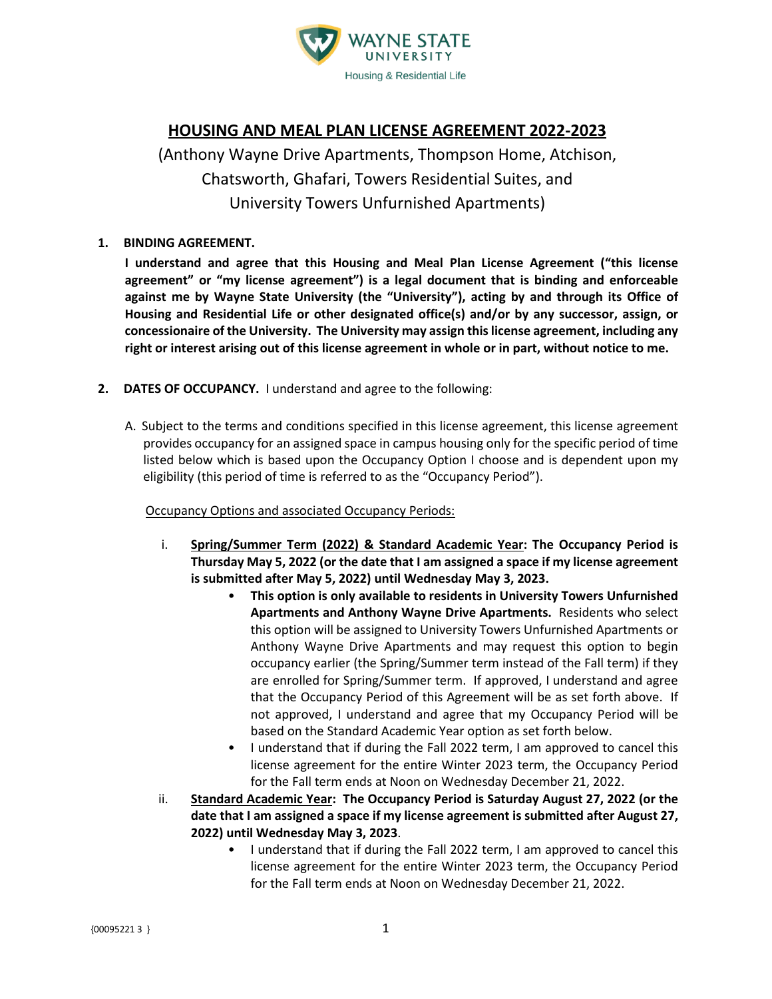

# **HOUSING AND MEAL PLAN LICENSE AGREEMENT 2022-2023**

(Anthony Wayne Drive Apartments, Thompson Home, Atchison, Chatsworth, Ghafari, Towers Residential Suites, and University Towers Unfurnished Apartments)

## **1. BINDING AGREEMENT.**

**I understand and agree that this Housing and Meal Plan License Agreement ("this license agreement" or "my license agreement") is a legal document that is binding and enforceable against me by Wayne State University (the "University"), acting by and through its Office of Housing and Residential Life or other designated office(s) and/or by any successor, assign, or concessionaire of the University. The University may assign this license agreement, including any right or interest arising out of this license agreement in whole or in part, without notice to me.**

- **2. DATES OF OCCUPANCY.** I understand and agree to the following:
	- A. Subject to the terms and conditions specified in this license agreement, this license agreement provides occupancy for an assigned space in campus housing only for the specific period of time listed below which is based upon the Occupancy Option I choose and is dependent upon my eligibility (this period of time is referred to as the "Occupancy Period").

## Occupancy Options and associated Occupancy Periods:

- i. **Spring/Summer Term (2022) & Standard Academic Year: The Occupancy Period is Thursday May 5, 2022 (or the date that I am assigned a space if my license agreement is submitted after May 5, 2022) until Wednesday May 3, 2023.**
	- **This option is only available to residents in University Towers Unfurnished Apartments and Anthony Wayne Drive Apartments.** Residents who select this option will be assigned to University Towers Unfurnished Apartments or Anthony Wayne Drive Apartments and may request this option to begin occupancy earlier (the Spring/Summer term instead of the Fall term) if they are enrolled for Spring/Summer term. If approved, I understand and agree that the Occupancy Period of this Agreement will be as set forth above. If not approved, I understand and agree that my Occupancy Period will be based on the Standard Academic Year option as set forth below.
	- I understand that if during the Fall 2022 term, I am approved to cancel this license agreement for the entire Winter 2023 term, the Occupancy Period for the Fall term ends at Noon on Wednesday December 21, 2022.
- ii. **Standard Academic Year: The Occupancy Period is Saturday August 27, 2022 (or the date that I am assigned a space if my license agreement is submitted after August 27, 2022) until Wednesday May 3, 2023**.
	- I understand that if during the Fall 2022 term, I am approved to cancel this license agreement for the entire Winter 2023 term, the Occupancy Period for the Fall term ends at Noon on Wednesday December 21, 2022.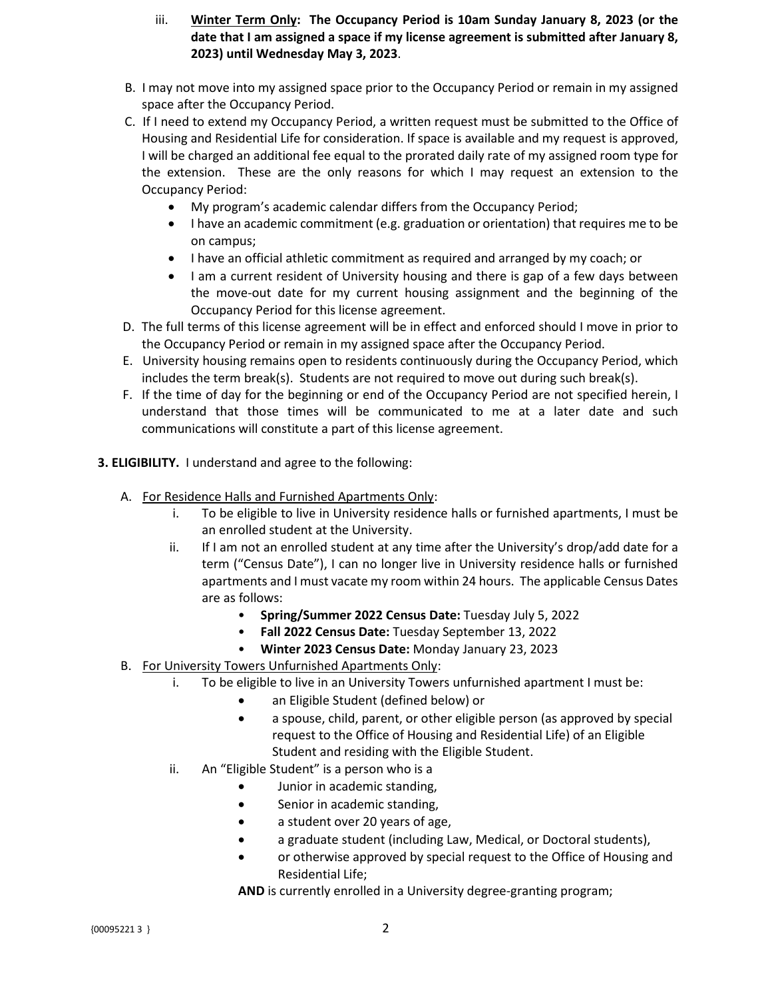- iii. **Winter Term Only: The Occupancy Period is 10am Sunday January 8, 2023 (or the date that I am assigned a space if my license agreement is submitted after January 8, 2023) until Wednesday May 3, 2023**.
- B. I may not move into my assigned space prior to the Occupancy Period or remain in my assigned space after the Occupancy Period.
- C. If I need to extend my Occupancy Period, a written request must be submitted to the Office of Housing and Residential Life for consideration. If space is available and my request is approved, I will be charged an additional fee equal to the prorated daily rate of my assigned room type for the extension. These are the only reasons for which I may request an extension to the Occupancy Period:
	- My program's academic calendar differs from the Occupancy Period;
	- I have an academic commitment (e.g. graduation or orientation) that requires me to be on campus;
	- I have an official athletic commitment as required and arranged by my coach; or
	- I am a current resident of University housing and there is gap of a few days between the move-out date for my current housing assignment and the beginning of the Occupancy Period for this license agreement.
- D. The full terms of this license agreement will be in effect and enforced should I move in prior to the Occupancy Period or remain in my assigned space after the Occupancy Period.
- E. University housing remains open to residents continuously during the Occupancy Period, which includes the term break(s). Students are not required to move out during such break(s).
- F. If the time of day for the beginning or end of the Occupancy Period are not specified herein, I understand that those times will be communicated to me at a later date and such communications will constitute a part of this license agreement.
- **3. ELIGIBILITY.** I understand and agree to the following:
	- A. For Residence Halls and Furnished Apartments Only:
		- i. To be eligible to live in University residence halls or furnished apartments, I must be an enrolled student at the University.
		- ii. If I am not an enrolled student at any time after the University's drop/add date for a term ("Census Date"), I can no longer live in University residence halls or furnished apartments and I must vacate my room within 24 hours. The applicable Census Dates are as follows:
			- **Spring/Summer 2022 Census Date:** Tuesday July 5, 2022
			- **Fall 2022 Census Date:** Tuesday September 13, 2022
			- **Winter 2023 Census Date:** Monday January 23, 2023
	- B. For University Towers Unfurnished Apartments Only:
		- i. To be eligible to live in an University Towers unfurnished apartment I must be:
			- an Eligible Student (defined below) or
			- a spouse, child, parent, or other eligible person (as approved by special request to the Office of Housing and Residential Life) of an Eligible Student and residing with the Eligible Student.
			- ii. An "Eligible Student" is a person who is a
				- Junior in academic standing,
				- Senior in academic standing,
				- a student over 20 years of age,
				- a graduate student (including Law, Medical, or Doctoral students),
				- or otherwise approved by special request to the Office of Housing and Residential Life;
				- **AND** is currently enrolled in a University degree-granting program;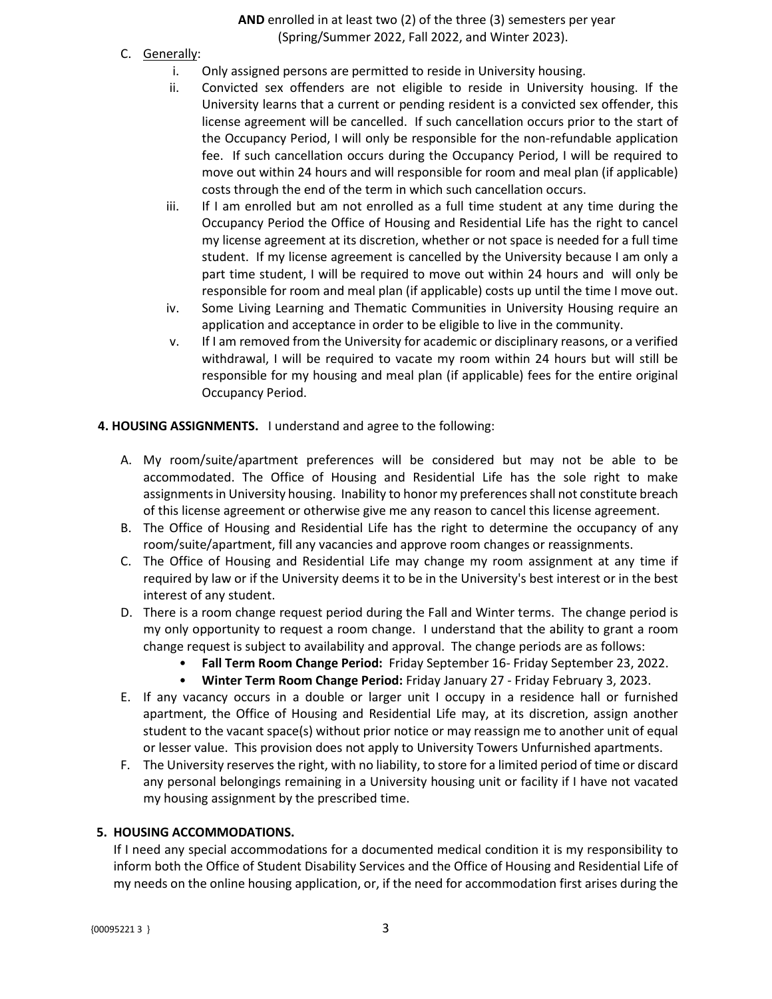**AND** enrolled in at least two (2) of the three (3) semesters per year (Spring/Summer 2022, Fall 2022, and Winter 2023).

- C. Generally:
	- i. Only assigned persons are permitted to reside in University housing.
	- ii. Convicted sex offenders are not eligible to reside in University housing. If the University learns that a current or pending resident is a convicted sex offender, this license agreement will be cancelled. If such cancellation occurs prior to the start of the Occupancy Period, I will only be responsible for the non-refundable application fee. If such cancellation occurs during the Occupancy Period, I will be required to move out within 24 hours and will responsible for room and meal plan (if applicable) costs through the end of the term in which such cancellation occurs.
	- iii. If I am enrolled but am not enrolled as a full time student at any time during the Occupancy Period the Office of Housing and Residential Life has the right to cancel my license agreement at its discretion, whether or not space is needed for a full time student. If my license agreement is cancelled by the University because I am only a part time student, I will be required to move out within 24 hours and will only be responsible for room and meal plan (if applicable) costs up until the time I move out.
	- iv. Some Living Learning and Thematic Communities in University Housing require an application and acceptance in order to be eligible to live in the community.
	- v. If I am removed from the University for academic or disciplinary reasons, or a verified withdrawal, I will be required to vacate my room within 24 hours but will still be responsible for my housing and meal plan (if applicable) fees for the entire original Occupancy Period.
- **4. HOUSING ASSIGNMENTS.** I understand and agree to the following:
	- A. My room/suite/apartment preferences will be considered but may not be able to be accommodated. The Office of Housing and Residential Life has the sole right to make assignments in University housing. Inability to honor my preferences shall not constitute breach of this license agreement or otherwise give me any reason to cancel this license agreement.
	- B. The Office of Housing and Residential Life has the right to determine the occupancy of any room/suite/apartment, fill any vacancies and approve room changes or reassignments.
	- C. The Office of Housing and Residential Life may change my room assignment at any time if required by law or if the University deems it to be in the University's best interest or in the best interest of any student.
	- D. There is a room change request period during the Fall and Winter terms. The change period is my only opportunity to request a room change. I understand that the ability to grant a room change request is subject to availability and approval. The change periods are as follows:
		- **Fall Term Room Change Period:** Friday September 16- Friday September 23, 2022.
		- **Winter Term Room Change Period:** Friday January 27 Friday February 3, 2023.
	- E. If any vacancy occurs in a double or larger unit I occupy in a residence hall or furnished apartment, the Office of Housing and Residential Life may, at its discretion, assign another student to the vacant space(s) without prior notice or may reassign me to another unit of equal or lesser value. This provision does not apply to University Towers Unfurnished apartments.
	- F. The University reserves the right, with no liability, to store for a limited period of time or discard any personal belongings remaining in a University housing unit or facility if I have not vacated my housing assignment by the prescribed time.

## **5. HOUSING ACCOMMODATIONS.**

If I need any special accommodations for a documented medical condition it is my responsibility to inform both the Office of Student Disability Services and the Office of Housing and Residential Life of my needs on the online housing application, or, if the need for accommodation first arises during the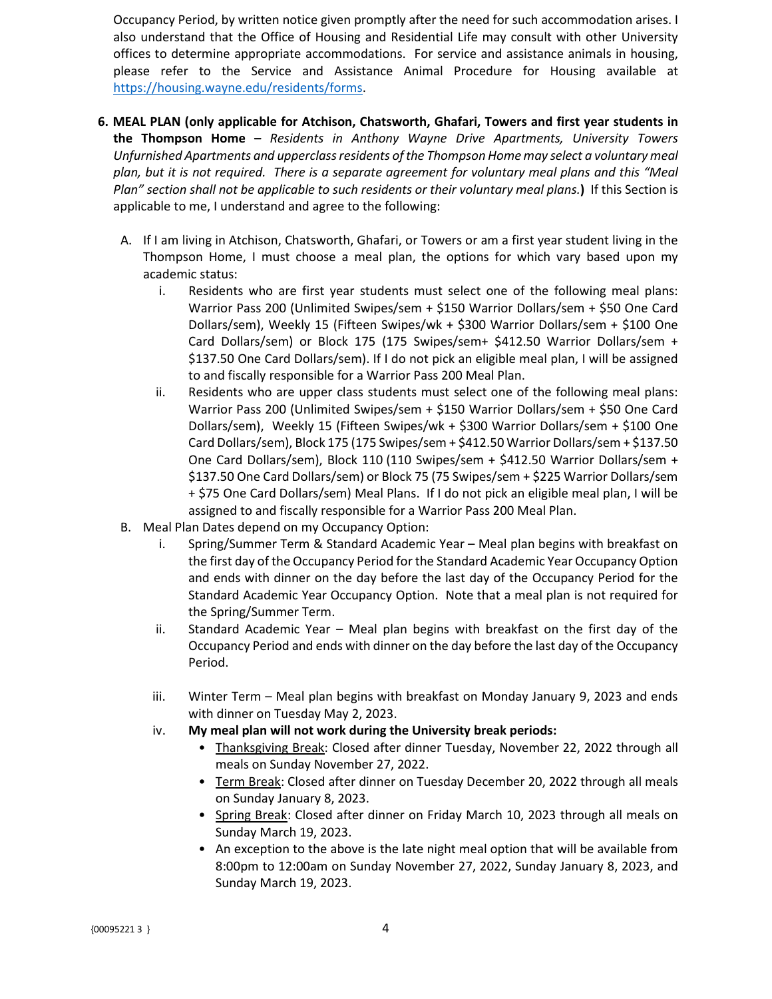Occupancy Period, by written notice given promptly after the need for such accommodation arises. I also understand that the Office of Housing and Residential Life may consult with other University offices to determine appropriate accommodations. For service and assistance animals in housing, please refer to the Service and Assistance Animal Procedure for Housing available at [https://housing.wayne.edu/residents/forms.](https://housing.wayne.edu/residents/forms)

- **6. MEAL PLAN (only applicable for Atchison, Chatsworth, Ghafari, Towers and first year students in the Thompson Home –** *Residents in Anthony Wayne Drive Apartments, University Towers Unfurnished Apartments and upperclass residents of the Thompson Home may select a voluntary meal plan, but it is not required. There is a separate agreement for voluntary meal plans and this "Meal Plan" section shall not be applicable to such residents or their voluntary meal plans.***)** If this Section is applicable to me, I understand and agree to the following:
	- A. If I am living in Atchison, Chatsworth, Ghafari, or Towers or am a first year student living in the Thompson Home, I must choose a meal plan, the options for which vary based upon my academic status:
		- i. Residents who are first year students must select one of the following meal plans: Warrior Pass 200 (Unlimited Swipes/sem + \$150 Warrior Dollars/sem + \$50 One Card Dollars/sem), Weekly 15 (Fifteen Swipes/wk + \$300 Warrior Dollars/sem + \$100 One Card Dollars/sem) or Block 175 (175 Swipes/sem+ \$412.50 Warrior Dollars/sem + \$137.50 One Card Dollars/sem). If I do not pick an eligible meal plan, I will be assigned to and fiscally responsible for a Warrior Pass 200 Meal Plan.
		- ii. Residents who are upper class students must select one of the following meal plans: Warrior Pass 200 (Unlimited Swipes/sem + \$150 Warrior Dollars/sem + \$50 One Card Dollars/sem), Weekly 15 (Fifteen Swipes/wk + \$300 Warrior Dollars/sem + \$100 One Card Dollars/sem), Block 175 (175 Swipes/sem + \$412.50 Warrior Dollars/sem + \$137.50 One Card Dollars/sem), Block 110 (110 Swipes/sem + \$412.50 Warrior Dollars/sem + \$137.50 One Card Dollars/sem) or Block 75 (75 Swipes/sem + \$225 Warrior Dollars/sem + \$75 One Card Dollars/sem) Meal Plans. If I do not pick an eligible meal plan, I will be assigned to and fiscally responsible for a Warrior Pass 200 Meal Plan.
	- B. Meal Plan Dates depend on my Occupancy Option:
		- i. Spring/Summer Term & Standard Academic Year Meal plan begins with breakfast on the first day of the Occupancy Period for the Standard Academic Year Occupancy Option and ends with dinner on the day before the last day of the Occupancy Period for the Standard Academic Year Occupancy Option. Note that a meal plan is not required for the Spring/Summer Term.
		- ii. Standard Academic Year Meal plan begins with breakfast on the first day of the Occupancy Period and ends with dinner on the day before the last day of the Occupancy Period.
		- iii. Winter Term Meal plan begins with breakfast on Monday January 9, 2023 and ends with dinner on Tuesday May 2, 2023.
		- iv. **My meal plan will not work during the University break periods:**
			- Thanksgiving Break: Closed after dinner Tuesday, November 22, 2022 through all meals on Sunday November 27, 2022.
			- Term Break: Closed after dinner on Tuesday December 20, 2022 through all meals on Sunday January 8, 2023.
			- Spring Break: Closed after dinner on Friday March 10, 2023 through all meals on Sunday March 19, 2023.
			- An exception to the above is the late night meal option that will be available from 8:00pm to 12:00am on Sunday November 27, 2022, Sunday January 8, 2023, and Sunday March 19, 2023.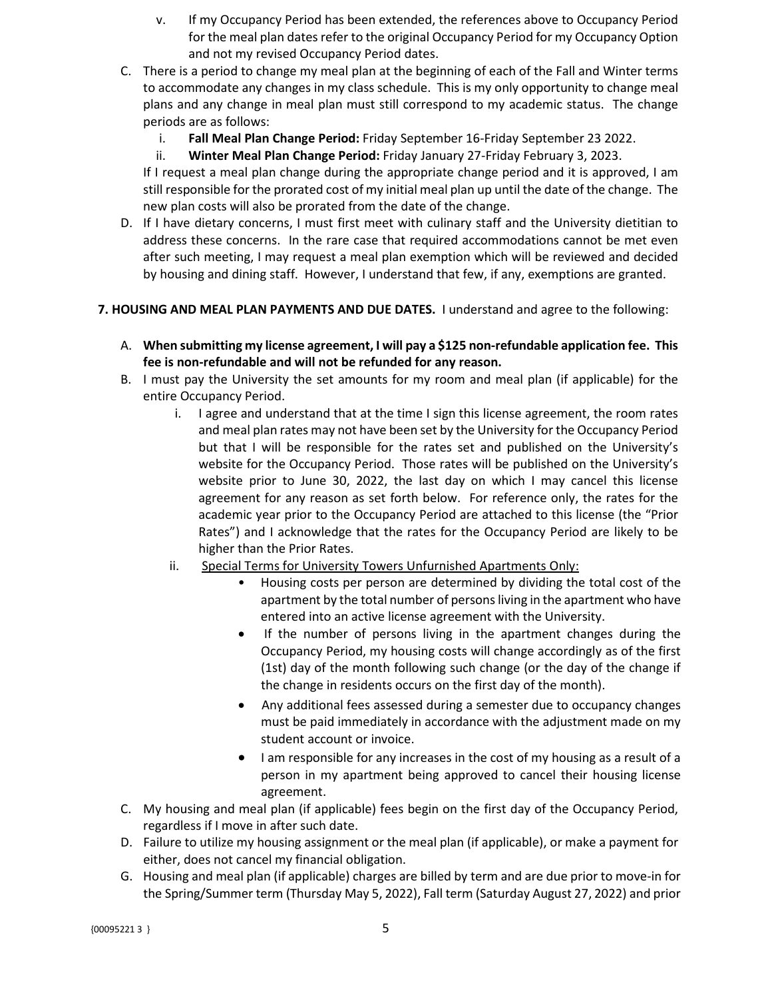- v. If my Occupancy Period has been extended, the references above to Occupancy Period for the meal plan dates refer to the original Occupancy Period for my Occupancy Option and not my revised Occupancy Period dates.
- C. There is a period to change my meal plan at the beginning of each of the Fall and Winter terms to accommodate any changes in my class schedule. This is my only opportunity to change meal plans and any change in meal plan must still correspond to my academic status. The change periods are as follows:
	- i. **Fall Meal Plan Change Period:** Friday September 16-Friday September 23 2022.
	- ii. **Winter Meal Plan Change Period:** Friday January 27-Friday February 3, 2023.

If I request a meal plan change during the appropriate change period and it is approved, I am still responsible for the prorated cost of my initial meal plan up until the date of the change. The new plan costs will also be prorated from the date of the change.

D. If I have dietary concerns, I must first meet with culinary staff and the University dietitian to address these concerns. In the rare case that required accommodations cannot be met even after such meeting, I may request a meal plan exemption which will be reviewed and decided by housing and dining staff. However, I understand that few, if any, exemptions are granted.

## **7. HOUSING AND MEAL PLAN PAYMENTS AND DUE DATES.** I understand and agree to the following:

- A. **When submitting my license agreement, I will pay a \$125 non-refundable application fee. This fee is non-refundable and will not be refunded for any reason.**
- B. I must pay the University the set amounts for my room and meal plan (if applicable) for the entire Occupancy Period.
	- i. I agree and understand that at the time I sign this license agreement, the room rates and meal plan rates may not have been set by the University for the Occupancy Period but that I will be responsible for the rates set and published on the University's website for the Occupancy Period. Those rates will be published on the University's website prior to June 30, 2022, the last day on which I may cancel this license agreement for any reason as set forth below. For reference only, the rates for the academic year prior to the Occupancy Period are attached to this license (the "Prior Rates") and I acknowledge that the rates for the Occupancy Period are likely to be higher than the Prior Rates.
	- ii. Special Terms for University Towers Unfurnished Apartments Only:
		- Housing costs per person are determined by dividing the total cost of the apartment by the total number of persons living in the apartment who have entered into an active license agreement with the University.
		- If the number of persons living in the apartment changes during the Occupancy Period, my housing costs will change accordingly as of the first (1st) day of the month following such change (or the day of the change if the change in residents occurs on the first day of the month).
		- Any additional fees assessed during a semester due to occupancy changes must be paid immediately in accordance with the adjustment made on my student account or invoice.
		- I am responsible for any increases in the cost of my housing as a result of a person in my apartment being approved to cancel their housing license agreement.
- C. My housing and meal plan (if applicable) fees begin on the first day of the Occupancy Period, regardless if I move in after such date.
- D. Failure to utilize my housing assignment or the meal plan (if applicable), or make a payment for either, does not cancel my financial obligation.
- G. Housing and meal plan (if applicable) charges are billed by term and are due prior to move-in for the Spring/Summer term (Thursday May 5, 2022), Fall term (Saturday August 27, 2022) and prior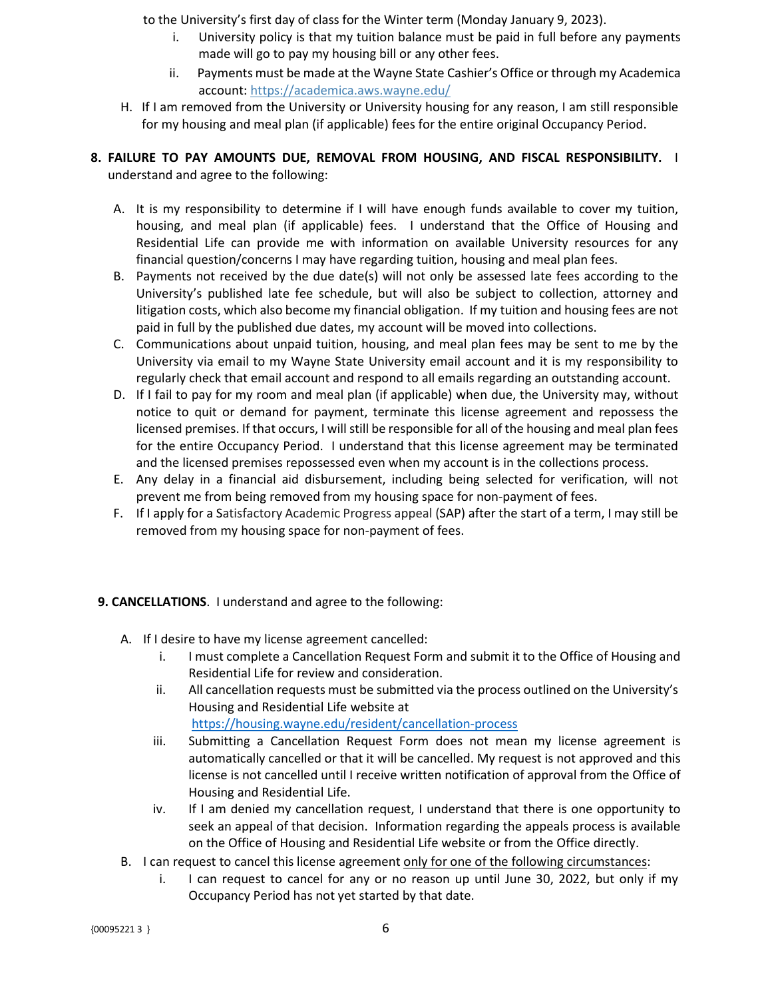to the University's first day of class for the Winter term (Monday January 9, 2023).

- i. University policy is that my tuition balance must be paid in full before any payments made will go to pay my housing bill or any other fees.
- ii. Payments must be made at the Wayne State Cashier's Office or through my Academica account: <https://academica.aws.wayne.edu/>
- H. If I am removed from the University or University housing for any reason, I am still responsible for my housing and meal plan (if applicable) fees for the entire original Occupancy Period.

## **8. FAILURE TO PAY AMOUNTS DUE, REMOVAL FROM HOUSING, AND FISCAL RESPONSIBILITY.** I understand and agree to the following:

- A. It is my responsibility to determine if I will have enough funds available to cover my tuition, housing, and meal plan (if applicable) fees. I understand that the Office of Housing and Residential Life can provide me with information on available University resources for any financial question/concerns I may have regarding tuition, housing and meal plan fees.
- B. Payments not received by the due date(s) will not only be assessed late fees according to the University's published late fee schedule, but will also be subject to collection, attorney and litigation costs, which also become my financial obligation. If my tuition and housing fees are not paid in full by the published due dates, my account will be moved into collections.
- C. Communications about unpaid tuition, housing, and meal plan fees may be sent to me by the University via email to my Wayne State University email account and it is my responsibility to regularly check that email account and respond to all emails regarding an outstanding account.
- D. If I fail to pay for my room and meal plan (if applicable) when due, the University may, without notice to quit or demand for payment, terminate this license agreement and repossess the licensed premises. If that occurs, I will still be responsible for all of the housing and meal plan fees for the entire Occupancy Period. I understand that this license agreement may be terminated and the licensed premises repossessed even when my account is in the collections process.
- E. Any delay in a financial aid disbursement, including being selected for verification, will not prevent me from being removed from my housing space for non-payment of fees.
- F. If I apply for a Satisfactory Academic Progress appeal (SAP) after the start of a term, I may still be removed from my housing space for non-payment of fees.

## **9. CANCELLATIONS**. I understand and agree to the following:

- A. If I desire to have my license agreement cancelled:
	- i. I must complete a Cancellation Request Form and submit it to the Office of Housing and Residential Life for review and consideration.
	- ii. All cancellation requests must be submitted via the process outlined on the University's Housing and Residential Life website at <https://housing.wayne.edu/resident/cancellation-process>
	- iii. Submitting a Cancellation Request Form does not mean my license agreement is automatically cancelled or that it will be cancelled. My request is not approved and this license is not cancelled until I receive written notification of approval from the Office of Housing and Residential Life.
	- iv. If I am denied my cancellation request, I understand that there is one opportunity to seek an appeal of that decision. Information regarding the appeals process is available on the Office of Housing and Residential Life website or from the Office directly.
- B. I can request to cancel this license agreement only for one of the following circumstances:
	- i. I can request to cancel for any or no reason up until June 30, 2022, but only if my Occupancy Period has not yet started by that date.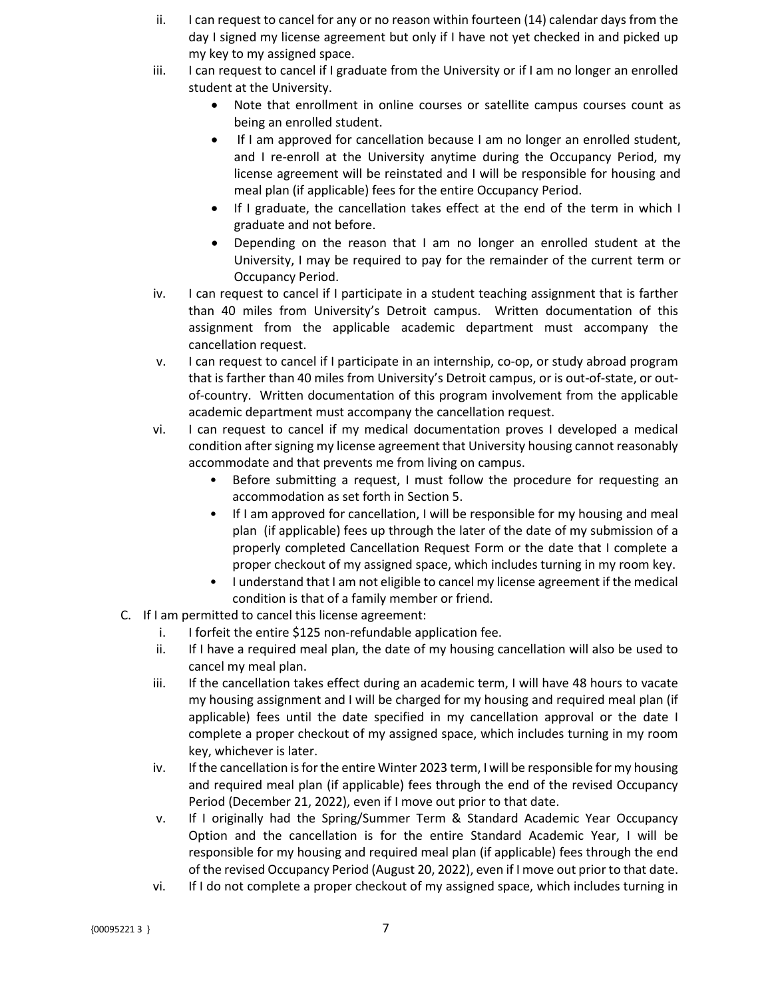- ii. I can request to cancel for any or no reason within fourteen (14) calendar days from the day I signed my license agreement but only if I have not yet checked in and picked up my key to my assigned space.
- iii. I can request to cancel if I graduate from the University or if I am no longer an enrolled student at the University.
	- Note that enrollment in online courses or satellite campus courses count as being an enrolled student.
	- If I am approved for cancellation because I am no longer an enrolled student, and I re-enroll at the University anytime during the Occupancy Period, my license agreement will be reinstated and I will be responsible for housing and meal plan (if applicable) fees for the entire Occupancy Period.
	- If I graduate, the cancellation takes effect at the end of the term in which I graduate and not before.
	- Depending on the reason that I am no longer an enrolled student at the University, I may be required to pay for the remainder of the current term or Occupancy Period.
- iv. I can request to cancel if I participate in a student teaching assignment that is farther than 40 miles from University's Detroit campus. Written documentation of this assignment from the applicable academic department must accompany the cancellation request.
- v. I can request to cancel if I participate in an internship, co-op, or study abroad program that is farther than 40 miles from University's Detroit campus, or is out-of-state, or outof-country. Written documentation of this program involvement from the applicable academic department must accompany the cancellation request.
- vi. I can request to cancel if my medical documentation proves I developed a medical condition after signing my license agreement that University housing cannot reasonably accommodate and that prevents me from living on campus.
	- Before submitting a request, I must follow the procedure for requesting an accommodation as set forth in Section 5.
	- If I am approved for cancellation, I will be responsible for my housing and meal plan (if applicable) fees up through the later of the date of my submission of a properly completed Cancellation Request Form or the date that I complete a proper checkout of my assigned space, which includes turning in my room key.
	- I understand that I am not eligible to cancel my license agreement if the medical condition is that of a family member or friend.
- C. If I am permitted to cancel this license agreement:
	- i. I forfeit the entire \$125 non-refundable application fee.
	- ii. If I have a required meal plan, the date of my housing cancellation will also be used to cancel my meal plan.
	- iii. If the cancellation takes effect during an academic term, I will have 48 hours to vacate my housing assignment and I will be charged for my housing and required meal plan (if applicable) fees until the date specified in my cancellation approval or the date I complete a proper checkout of my assigned space, which includes turning in my room key, whichever is later.
	- iv. If the cancellation is for the entire Winter 2023 term, I will be responsible for my housing and required meal plan (if applicable) fees through the end of the revised Occupancy Period (December 21, 2022), even if I move out prior to that date.
	- v. If I originally had the Spring/Summer Term & Standard Academic Year Occupancy Option and the cancellation is for the entire Standard Academic Year, I will be responsible for my housing and required meal plan (if applicable) fees through the end of the revised Occupancy Period (August 20, 2022), even if I move out prior to that date.
	- vi. If I do not complete a proper checkout of my assigned space, which includes turning in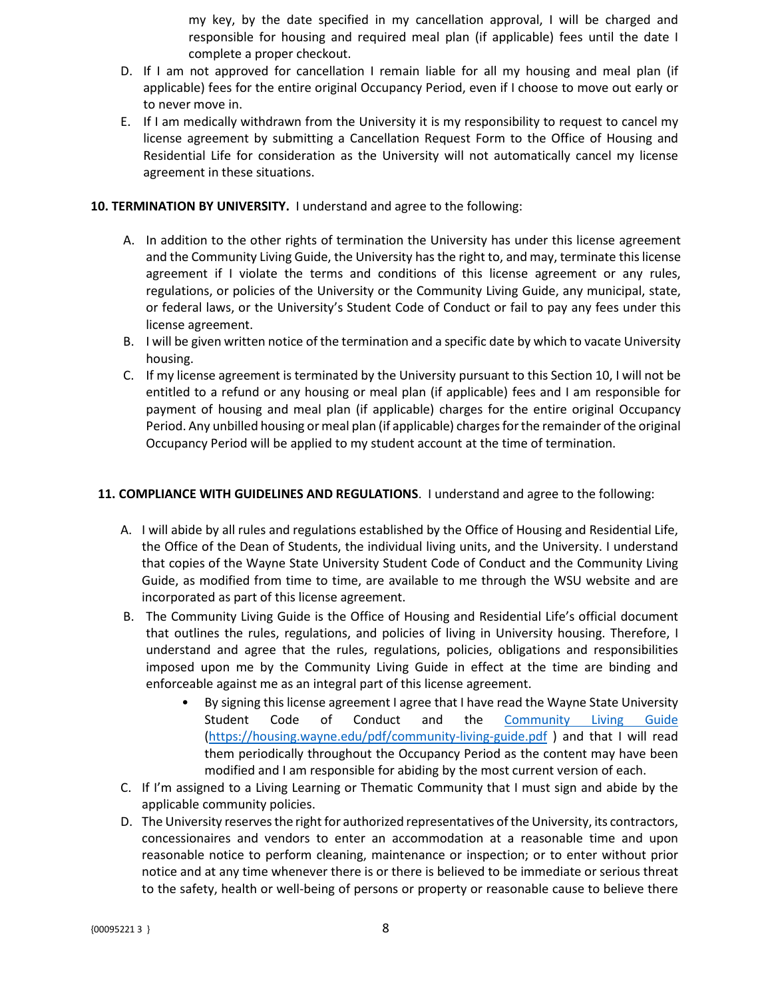my key, by the date specified in my cancellation approval, I will be charged and responsible for housing and required meal plan (if applicable) fees until the date I complete a proper checkout.

- D. If I am not approved for cancellation I remain liable for all my housing and meal plan (if applicable) fees for the entire original Occupancy Period, even if I choose to move out early or to never move in.
- E. If I am medically withdrawn from the University it is my responsibility to request to cancel my license agreement by submitting a Cancellation Request Form to the Office of Housing and Residential Life for consideration as the University will not automatically cancel my license agreement in these situations.

## **10. TERMINATION BY UNIVERSITY.** I understand and agree to the following:

- A. In addition to the other rights of termination the University has under this license agreement and the Community Living Guide, the University has the right to, and may, terminate this license agreement if I violate the terms and conditions of this license agreement or any rules, regulations, or policies of the University or the Community Living Guide, any municipal, state, or federal laws, or the University's Student Code of Conduct or fail to pay any fees under this license agreement.
- B. I will be given written notice of the termination and a specific date by which to vacate University housing.
- C. If my license agreement is terminated by the University pursuant to this Section 10, I will not be entitled to a refund or any housing or meal plan (if applicable) fees and I am responsible for payment of housing and meal plan (if applicable) charges for the entire original Occupancy Period. Any unbilled housing or meal plan (if applicable) charges for the remainder of the original Occupancy Period will be applied to my student account at the time of termination.

#### **11. COMPLIANCE WITH GUIDELINES AND REGULATIONS**. I understand and agree to the following:

- A. I will abide by all rules and regulations established by the Office of Housing and Residential Life, the Office of the Dean of Students, the individual living units, and the University. I understand that copies of the Wayne State University Student Code of Conduct and the Community Living Guide, as modified from time to time, are available to me through the WSU website and are incorporated as part of this license agreement.
- B. The Community Living Guide is the Office of Housing and Residential Life's official document that outlines the rules, regulations, and policies of living in University housing. Therefore, I understand and agree that the rules, regulations, policies, obligations and responsibilities imposed upon me by the Community Living Guide in effect at the time are binding and enforceable against me as an integral part of this license agreement.
	- By signing this license agreement I agree that I have read the Wayne State University Student Code of Conduct and the [Community Living Guide](https://housing.wayne.edu/pdf/community-living-guide.pdf) [\(https://housing.wayne.edu/pdf/community-living-guide.pdf](https://housing.wayne.edu/pdf/community-living-guide.pdf) ) and that I will read them periodically throughout the Occupancy Period as the content may have been modified and I am responsible for abiding by the most current version of each.
- C. If I'm assigned to a Living Learning or Thematic Community that I must sign and abide by the applicable community policies.
- D. The University reservesthe right for authorized representatives of the University, its contractors, concessionaires and vendors to enter an accommodation at a reasonable time and upon reasonable notice to perform cleaning, maintenance or inspection; or to enter without prior notice and at any time whenever there is or there is believed to be immediate or serious threat to the safety, health or well-being of persons or property or reasonable cause to believe there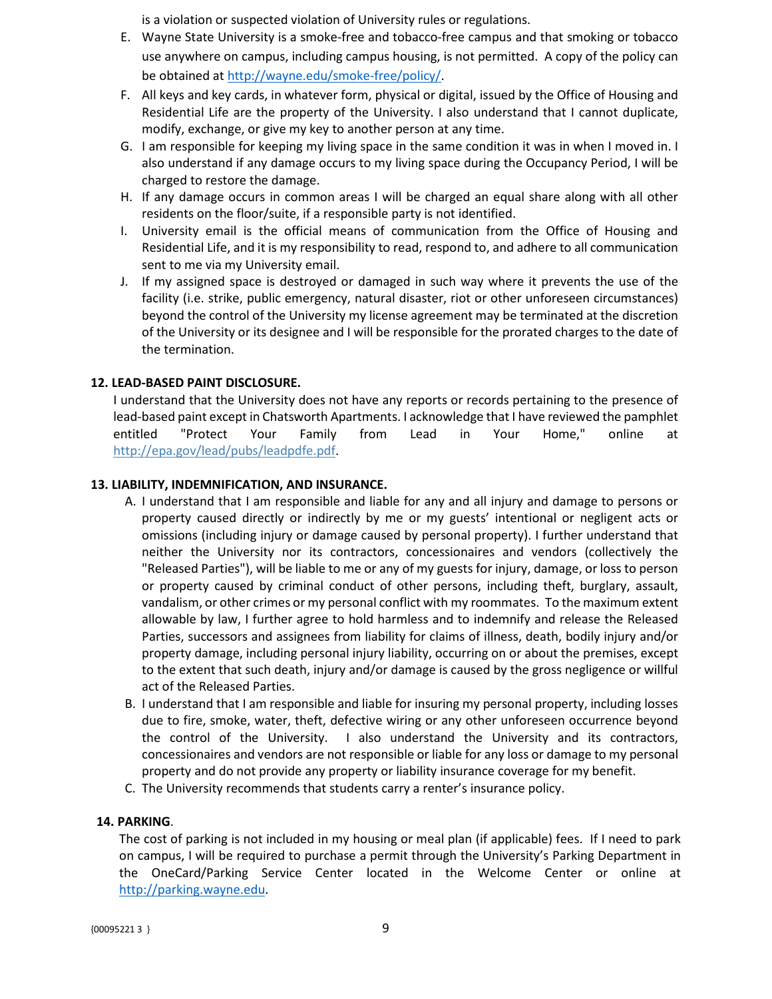is a violation or suspected violation of University rules or regulations.

- E. Wayne State University is a smoke-free and tobacco-free campus and that smoking or tobacco use anywhere on campus, including campus housing, is not permitted. A copy of the policy can be obtained at [http://wayne.edu/smoke-free/policy/.](http://wayne.edu/smoke-free/policy/)
- F. All keys and key cards, in whatever form, physical or digital, issued by the Office of Housing and Residential Life are the property of the University. I also understand that I cannot duplicate, modify, exchange, or give my key to another person at any time.
- G. I am responsible for keeping my living space in the same condition it was in when I moved in. I also understand if any damage occurs to my living space during the Occupancy Period, I will be charged to restore the damage.
- H. If any damage occurs in common areas I will be charged an equal share along with all other residents on the floor/suite, if a responsible party is not identified.
- I. University email is the official means of communication from the Office of Housing and Residential Life, and it is my responsibility to read, respond to, and adhere to all communication sent to me via my University email.
- J. If my assigned space is destroyed or damaged in such way where it prevents the use of the facility (i.e. strike, public emergency, natural disaster, riot or other unforeseen circumstances) beyond the control of the University my license agreement may be terminated at the discretion of the University or its designee and I will be responsible for the prorated charges to the date of the termination.

## **12. LEAD-BASED PAINT DISCLOSURE.**

I understand that the University does not have any reports or records pertaining to the presence of lead-based paint except in Chatsworth Apartments. I acknowledge that I have reviewed the pamphlet entitled "Protect Your Family from Lead in Your Home," online at [http://epa.gov/lead/pubs/leadpdfe.pdf.](http://epa.gov/lead/pubs/leadpdfe.pdf)

## **13. LIABILITY, INDEMNIFICATION, AND INSURANCE.**

- A. I understand that I am responsible and liable for any and all injury and damage to persons or property caused directly or indirectly by me or my guests' intentional or negligent acts or omissions (including injury or damage caused by personal property). I further understand that neither the University nor its contractors, concessionaires and vendors (collectively the "Released Parties"), will be liable to me or any of my guests for injury, damage, or loss to person or property caused by criminal conduct of other persons, including theft, burglary, assault, vandalism, or other crimes or my personal conflict with my roommates. To the maximum extent allowable by law, I further agree to hold harmless and to indemnify and release the Released Parties, successors and assignees from liability for claims of illness, death, bodily injury and/or property damage, including personal injury liability, occurring on or about the premises, except to the extent that such death, injury and/or damage is caused by the gross negligence or willful act of the Released Parties.
- B. I understand that I am responsible and liable for insuring my personal property, including losses due to fire, smoke, water, theft, defective wiring or any other unforeseen occurrence beyond the control of the University. I also understand the University and its contractors, concessionaires and vendors are not responsible or liable for any loss or damage to my personal property and do not provide any property or liability insurance coverage for my benefit.
- C. The University recommends that students carry a renter's insurance policy.

## **14. PARKING**.

The cost of parking is not included in my housing or meal plan (if applicable) fees. If I need to park on campus, I will be required to purchase a permit through the University's Parking Department in the OneCard/Parking Service Center located in the Welcome Center or online at [http://parking.wayne.edu.](http://parking.wayne.edu/)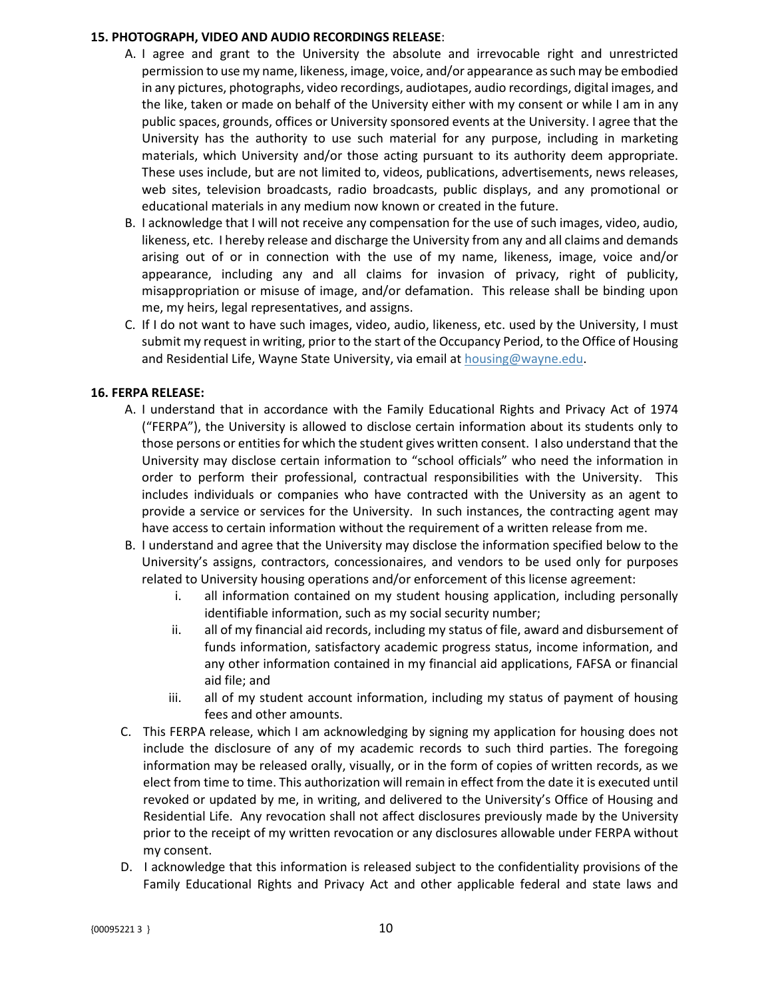#### **15. PHOTOGRAPH, VIDEO AND AUDIO RECORDINGS RELEASE**:

- A. I agree and grant to the University the absolute and irrevocable right and unrestricted permission to use my name, likeness, image, voice, and/or appearance as such may be embodied in any pictures, photographs, video recordings, audiotapes, audio recordings, digital images, and the like, taken or made on behalf of the University either with my consent or while I am in any public spaces, grounds, offices or University sponsored events at the University. I agree that the University has the authority to use such material for any purpose, including in marketing materials, which University and/or those acting pursuant to its authority deem appropriate. These uses include, but are not limited to, videos, publications, advertisements, news releases, web sites, television broadcasts, radio broadcasts, public displays, and any promotional or educational materials in any medium now known or created in the future.
- B. I acknowledge that I will not receive any compensation for the use of such images, video, audio, likeness, etc. I hereby release and discharge the University from any and all claims and demands arising out of or in connection with the use of my name, likeness, image, voice and/or appearance, including any and all claims for invasion of privacy, right of publicity, misappropriation or misuse of image, and/or defamation. This release shall be binding upon me, my heirs, legal representatives, and assigns.
- C. If I do not want to have such images, video, audio, likeness, etc. used by the University, I must submit my request in writing, prior to the start of the Occupancy Period, to the Office of Housing and Residential Life, Wayne State University, via email a[t housing@wayne.edu.](mailto:housing@wayne.edu)

## **16. FERPA RELEASE:**

- A. I understand that in accordance with the Family Educational Rights and Privacy Act of 1974 ("FERPA"), the University is allowed to disclose certain information about its students only to those persons or entities for which the student gives written consent. I also understand that the University may disclose certain information to "school officials" who need the information in order to perform their professional, contractual responsibilities with the University. This includes individuals or companies who have contracted with the University as an agent to provide a service or services for the University. In such instances, the contracting agent may have access to certain information without the requirement of a written release from me.
- B. I understand and agree that the University may disclose the information specified below to the University's assigns, contractors, concessionaires, and vendors to be used only for purposes related to University housing operations and/or enforcement of this license agreement:
	- i. all information contained on my student housing application, including personally identifiable information, such as my social security number;
	- ii. all of my financial aid records, including my status of file, award and disbursement of funds information, satisfactory academic progress status, income information, and any other information contained in my financial aid applications, FAFSA or financial aid file; and
	- iii. all of my student account information, including my status of payment of housing fees and other amounts.
- C. This FERPA release, which I am acknowledging by signing my application for housing does not include the disclosure of any of my academic records to such third parties. The foregoing information may be released orally, visually, or in the form of copies of written records, as we elect from time to time. This authorization will remain in effect from the date it is executed until revoked or updated by me, in writing, and delivered to the University's Office of Housing and Residential Life. Any revocation shall not affect disclosures previously made by the University prior to the receipt of my written revocation or any disclosures allowable under FERPA without my consent.
- D. I acknowledge that this information is released subject to the confidentiality provisions of the Family Educational Rights and Privacy Act and other applicable federal and state laws and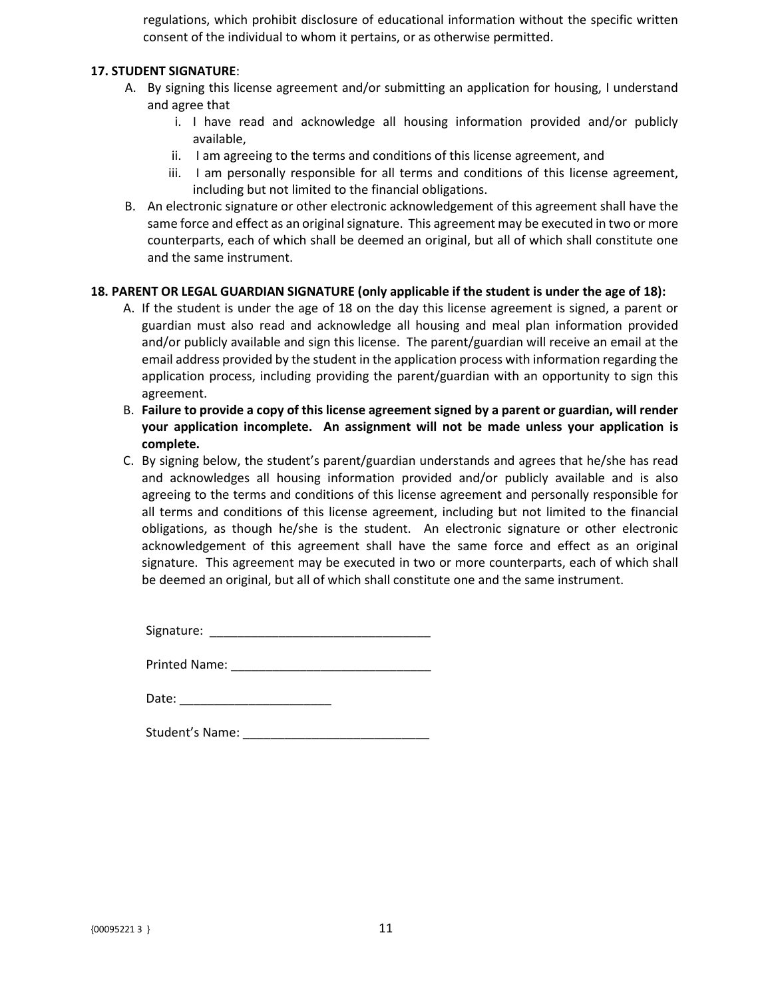regulations, which prohibit disclosure of educational information without the specific written consent of the individual to whom it pertains, or as otherwise permitted.

#### **17. STUDENT SIGNATURE**:

- A. By signing this license agreement and/or submitting an application for housing, I understand and agree that
	- i. I have read and acknowledge all housing information provided and/or publicly available,
	- ii. I am agreeing to the terms and conditions of this license agreement, and
	- iii. I am personally responsible for all terms and conditions of this license agreement, including but not limited to the financial obligations.
- B. An electronic signature or other electronic acknowledgement of this agreement shall have the same force and effect as an original signature. This agreement may be executed in two or more counterparts, each of which shall be deemed an original, but all of which shall constitute one and the same instrument.

## **18. PARENT OR LEGAL GUARDIAN SIGNATURE (only applicable if the student is under the age of 18):**

- A. If the student is under the age of 18 on the day this license agreement is signed, a parent or guardian must also read and acknowledge all housing and meal plan information provided and/or publicly available and sign this license. The parent/guardian will receive an email at the email address provided by the student in the application process with information regarding the application process, including providing the parent/guardian with an opportunity to sign this agreement.
- B. **Failure to provide a copy of this license agreement signed by a parent or guardian, will render your application incomplete. An assignment will not be made unless your application is complete.**
- C. By signing below, the student's parent/guardian understands and agrees that he/she has read and acknowledges all housing information provided and/or publicly available and is also agreeing to the terms and conditions of this license agreement and personally responsible for all terms and conditions of this license agreement, including but not limited to the financial obligations, as though he/she is the student. An electronic signature or other electronic acknowledgement of this agreement shall have the same force and effect as an original signature. This agreement may be executed in two or more counterparts, each of which shall be deemed an original, but all of which shall constitute one and the same instrument.

Signature: \_\_\_\_\_\_\_\_\_\_\_\_\_\_\_\_\_\_\_\_\_\_\_\_\_\_\_\_\_\_\_\_

Printed Name: \_\_\_\_\_\_\_\_\_\_\_\_\_\_\_\_\_\_\_\_\_\_\_\_\_\_\_\_\_

| Date: |
|-------|
|       |

Student's Name: \_\_\_\_\_\_\_\_\_\_\_\_\_\_\_\_\_\_\_\_\_\_\_\_\_\_\_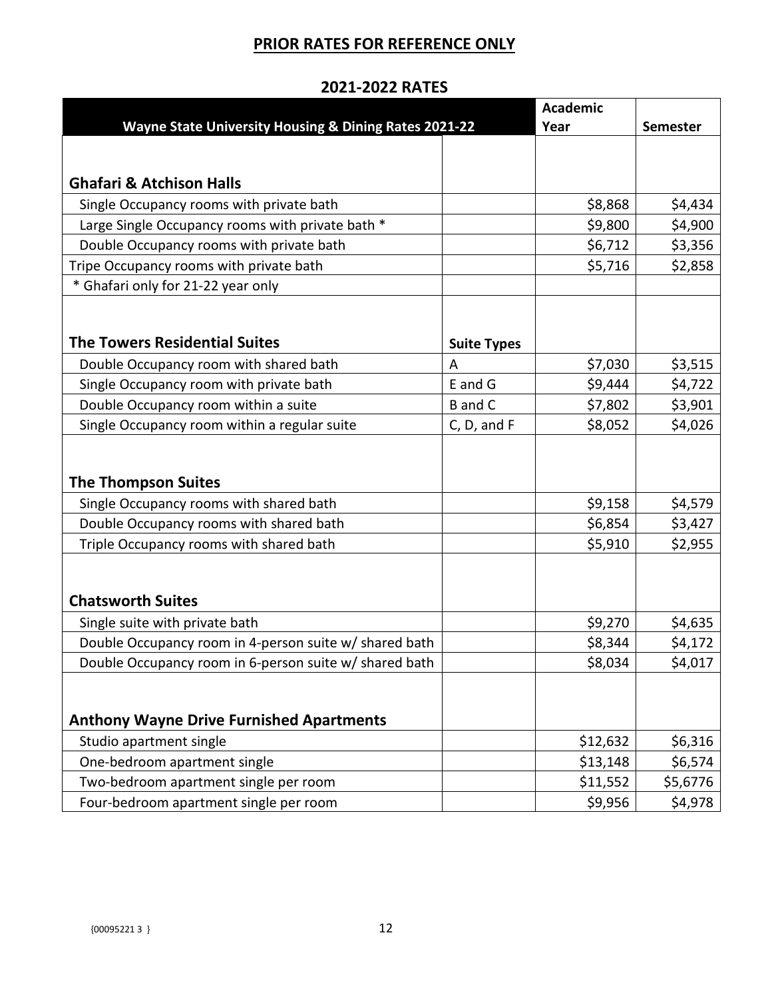# **PRIOR RATES FOR REFERENCE ONLY**

|                                                                                                                  |                    | <b>Academic</b>    |                 |
|------------------------------------------------------------------------------------------------------------------|--------------------|--------------------|-----------------|
| Wayne State University Housing & Dining Rates 2021-22                                                            |                    | Year               | <b>Semester</b> |
|                                                                                                                  |                    |                    |                 |
|                                                                                                                  |                    |                    |                 |
| <b>Ghafari &amp; Atchison Halls</b>                                                                              |                    |                    |                 |
| Single Occupancy rooms with private bath                                                                         |                    | \$8,868            | \$4,434         |
| Large Single Occupancy rooms with private bath *                                                                 |                    | \$9,800            | \$4,900         |
| Double Occupancy rooms with private bath                                                                         |                    | \$6,712            | \$3,356         |
| Tripe Occupancy rooms with private bath                                                                          |                    | \$5,716            | \$2,858         |
| * Ghafari only for 21-22 year only                                                                               |                    |                    |                 |
|                                                                                                                  |                    |                    |                 |
|                                                                                                                  |                    |                    |                 |
| <b>The Towers Residential Suites</b>                                                                             | <b>Suite Types</b> |                    |                 |
| Double Occupancy room with shared bath                                                                           | A                  | \$7,030            | \$3,515         |
| Single Occupancy room with private bath                                                                          | E and G            | \$9,444            | \$4,722         |
| Double Occupancy room within a suite                                                                             | <b>B</b> and C     | \$7,802            | \$3,901         |
| Single Occupancy room within a regular suite                                                                     | C, D, and F        | \$8,052            | \$4,026         |
|                                                                                                                  |                    |                    |                 |
|                                                                                                                  |                    |                    |                 |
| <b>The Thompson Suites</b>                                                                                       |                    |                    |                 |
| Single Occupancy rooms with shared bath                                                                          |                    | \$9,158            | \$4,579         |
| Double Occupancy rooms with shared bath                                                                          |                    | \$6,854            | \$3,427         |
| Triple Occupancy rooms with shared bath                                                                          |                    | \$5,910            | \$2,955         |
|                                                                                                                  |                    |                    |                 |
| <b>Chatsworth Suites</b>                                                                                         |                    |                    |                 |
| Single suite with private bath                                                                                   |                    | \$9,270            | \$4,635         |
|                                                                                                                  |                    |                    |                 |
| Double Occupancy room in 4-person suite w/ shared bath<br>Double Occupancy room in 6-person suite w/ shared bath |                    | \$8,344<br>\$8,034 | \$4,172         |
|                                                                                                                  |                    |                    | \$4,017         |
|                                                                                                                  |                    |                    |                 |
| <b>Anthony Wayne Drive Furnished Apartments</b>                                                                  |                    |                    |                 |
| Studio apartment single                                                                                          |                    | \$12,632           | \$6,316         |
| One-bedroom apartment single                                                                                     |                    | \$13,148           | \$6,574         |
| Two-bedroom apartment single per room                                                                            |                    | \$11,552           | \$5,6776        |
| Four-bedroom apartment single per room                                                                           |                    | \$9,956            | \$4,978         |

## **2021-2022 RATES**